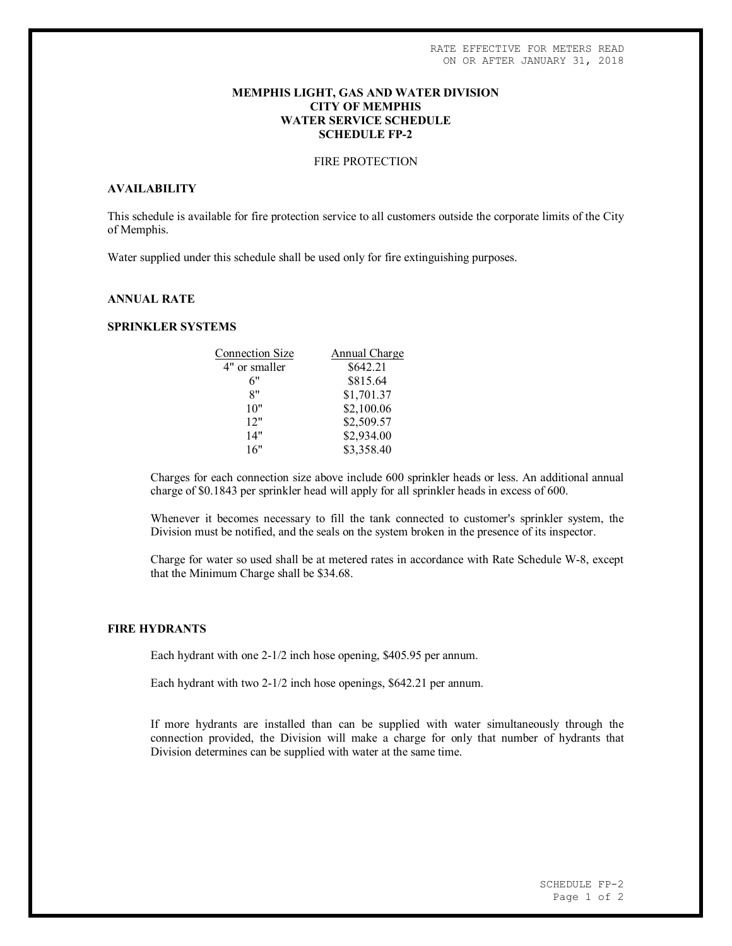# **MEMPHIS LIGHT, GAS AND WATER DIVISION CITY OF MEMPHIS WATER SERVICE SCHEDULE SCHEDULE FP-2**

## FIRE PROTECTION

#### **AVAILABILITY**

This schedule is available for fire protection service to all customers outside the corporate limits of the City of Memphis.

Water supplied under this schedule shall be used only for fire extinguishing purposes.

# **ANNUAL RATE**

### **SPRINKLER SYSTEMS**

| <b>Connection Size</b> | Annual Charge |
|------------------------|---------------|
| 4" or smaller          | \$642.21      |
| 6"                     | \$815.64      |
| 8"                     | \$1,701.37    |
| 10"                    | \$2,100.06    |
| 12"                    | \$2,509.57    |
| 14"                    | \$2,934.00    |
| 16"                    | \$3,358.40    |
|                        |               |

Charges for each connection size above include 600 sprinkler heads or less. An additional annual charge of \$0.1843 per sprinkler head will apply for all sprinkler heads in excess of 600.

Whenever it becomes necessary to fill the tank connected to customer's sprinkler system, the Division must be notified, and the seals on the system broken in the presence of its inspector.

Charge for water so used shall be at metered rates in accordance with Rate Schedule W-8, except that the Minimum Charge shall be \$34.68.

#### **FIRE HYDRANTS**

Each hydrant with one 2-1/2 inch hose opening, \$405.95 per annum.

Each hydrant with two 2-1/2 inch hose openings, \$642.21 per annum.

If more hydrants are installed than can be supplied with water simultaneously through the connection provided, the Division will make a charge for only that number of hydrants that Division determines can be supplied with water at the same time.